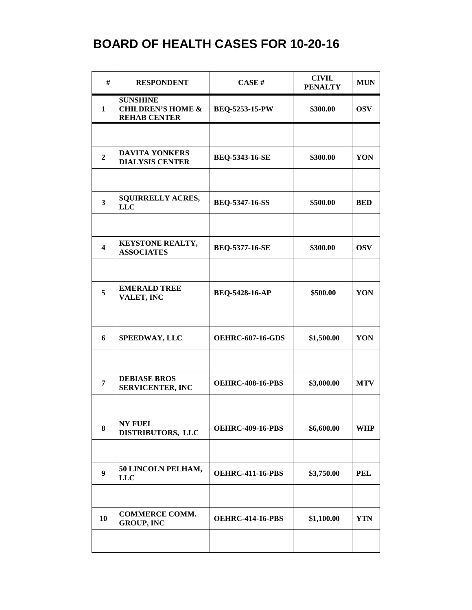| #                       | <b>RESPONDENT</b>                                                      | CASE#                   | <b>CIVIL</b><br><b>PENALTY</b> | <b>MUN</b> |
|-------------------------|------------------------------------------------------------------------|-------------------------|--------------------------------|------------|
| $\mathbf{1}$            | <b>SUNSHINE</b><br><b>CHILDREN'S HOME &amp;</b><br><b>REHAB CENTER</b> | BEQ-5253-15-PW          | \$300.00                       | <b>OSV</b> |
|                         |                                                                        |                         |                                |            |
| $\overline{2}$          | <b>DAVITA YONKERS</b><br><b>DIALYSIS CENTER</b>                        | <b>BEQ-5343-16-SE</b>   | \$300.00                       | YON        |
|                         |                                                                        |                         |                                |            |
| $\overline{\mathbf{3}}$ | <b>SQUIRRELLY ACRES,</b><br><b>LLC</b>                                 | <b>BEQ-5347-16-SS</b>   | \$500.00                       | <b>BED</b> |
|                         |                                                                        |                         |                                |            |
| $\overline{\mathbf{4}}$ | KEYSTONE REALTY,<br><b>ASSOCIATES</b>                                  | BEQ-5377-16-SE          | \$300.00                       | <b>OSV</b> |
|                         |                                                                        |                         |                                |            |
| 5                       | <b>EMERALD TREE</b><br>VALET, INC                                      | BEQ-5428-16-AP          | \$500.00                       | YON        |
|                         |                                                                        |                         |                                |            |
| 6                       | <b>SPEEDWAY, LLC</b>                                                   | <b>OEHRC-607-16-GDS</b> | \$1,500.00                     | YON        |
|                         |                                                                        |                         |                                |            |
| $\overline{7}$          | <b>DEBIASE BROS</b><br><b>SERVICENTER, INC</b>                         | <b>OEHRC-408-16-PBS</b> | \$3,000.00                     | <b>MTV</b> |
|                         |                                                                        |                         |                                |            |
| 8                       | <b>NY FUEL</b><br>DISTRIBUTORS, LLC                                    | <b>OEHRC-409-16-PBS</b> | \$6,600.00                     | <b>WHP</b> |
|                         |                                                                        |                         |                                |            |
| $\boldsymbol{9}$        | 50 LINCOLN PELHAM,<br><b>LLC</b>                                       | <b>OEHRC-411-16-PBS</b> | \$3,750.00                     | <b>PEL</b> |
|                         |                                                                        |                         |                                |            |
| 10                      | <b>COMMERCE COMM.</b><br><b>GROUP, INC</b>                             | <b>OEHRC-414-16-PBS</b> | \$1,100.00                     | YTN        |
|                         |                                                                        |                         |                                |            |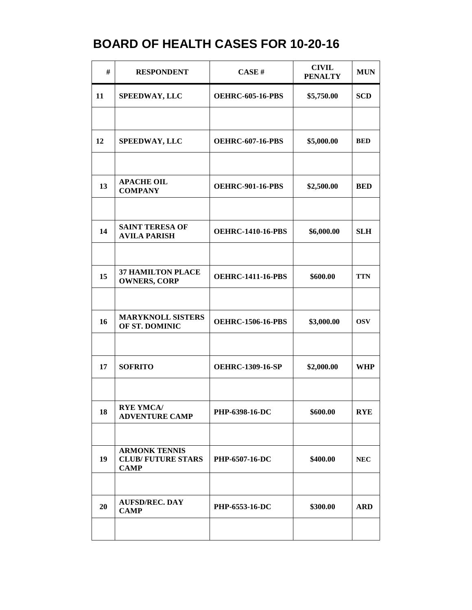| #  | <b>RESPONDENT</b>                                               | CASE#                    | <b>CIVIL</b><br><b>PENALTY</b> | <b>MUN</b> |
|----|-----------------------------------------------------------------|--------------------------|--------------------------------|------------|
| 11 | <b>SPEEDWAY, LLC</b>                                            | <b>OEHRC-605-16-PBS</b>  | \$5,750.00                     | <b>SCD</b> |
|    |                                                                 |                          |                                |            |
| 12 | <b>SPEEDWAY, LLC</b>                                            | <b>OEHRC-607-16-PBS</b>  | \$5,000.00                     | <b>BED</b> |
|    |                                                                 |                          |                                |            |
| 13 | <b>APACHE OIL</b><br><b>COMPANY</b>                             | <b>OEHRC-901-16-PBS</b>  | \$2,500.00                     | <b>BED</b> |
|    |                                                                 |                          |                                |            |
| 14 | <b>SAINT TERESA OF</b><br><b>AVILA PARISH</b>                   | <b>OEHRC-1410-16-PBS</b> | \$6,000.00                     | <b>SLH</b> |
|    |                                                                 |                          |                                |            |
| 15 | <b>37 HAMILTON PLACE</b><br><b>OWNERS, CORP</b>                 | <b>OEHRC-1411-16-PBS</b> | \$600.00                       | <b>TTN</b> |
|    |                                                                 |                          |                                |            |
| 16 | <b>MARYKNOLL SISTERS</b><br>OF ST. DOMINIC                      | <b>OEHRC-1506-16-PBS</b> | \$3,000.00                     | <b>OSV</b> |
|    |                                                                 |                          |                                |            |
| 17 | <b>SOFRITO</b>                                                  | <b>OEHRC-1309-16-SP</b>  | \$2,000.00                     | <b>WHP</b> |
|    |                                                                 |                          |                                |            |
| 18 | <b>RYE YMCA/</b><br><b>ADVENTURE CAMP</b>                       | PHP-6398-16-DC           | \$600.00                       | <b>RYE</b> |
|    |                                                                 |                          |                                |            |
| 19 | <b>ARMONK TENNIS</b><br><b>CLUB/FUTURE STARS</b><br><b>CAMP</b> | PHP-6507-16-DC           | \$400.00                       | <b>NEC</b> |
|    |                                                                 |                          |                                |            |
| 20 | <b>AUFSD/REC. DAY</b><br><b>CAMP</b>                            | PHP-6553-16-DC           | \$300.00                       | <b>ARD</b> |
|    |                                                                 |                          |                                |            |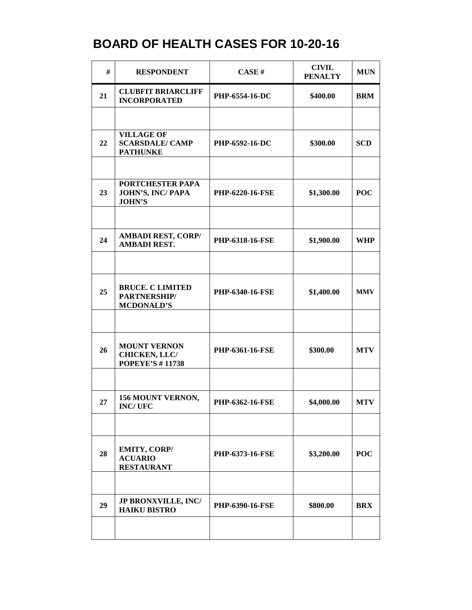| #  | <b>RESPONDENT</b>                                              | CASE#                  | <b>CIVIL</b><br><b>PENALTY</b> | <b>MUN</b> |
|----|----------------------------------------------------------------|------------------------|--------------------------------|------------|
| 21 | <b>CLUBFIT BRIARCLIFF</b><br><b>INCORPORATED</b>               | PHP-6554-16-DC         | \$400.00                       | <b>BRM</b> |
|    |                                                                |                        |                                |            |
| 22 | <b>VILLAGE OF</b><br><b>SCARSDALE/ CAMP</b><br><b>PATHUNKE</b> | <b>PHP-6592-16-DC</b>  | \$300.00                       | <b>SCD</b> |
|    |                                                                |                        |                                |            |
| 23 | PORTCHESTER PAPA<br>JOHN'S, INC/PAPA<br><b>JOHN'S</b>          | PHP-6220-16-FSE        | \$1,300.00                     | <b>POC</b> |
|    |                                                                |                        |                                |            |
| 24 | <b>AMBADI REST, CORP/</b><br><b>AMBADI REST.</b>               | PHP-6318-16-FSE        | \$1,900.00                     | <b>WHP</b> |
|    |                                                                |                        |                                |            |
| 25 | <b>BRUCE. C LIMITED</b><br>PARTNERSHIP/<br><b>MCDONALD'S</b>   | <b>PHP-6340-16-FSE</b> | \$1,400.00                     | <b>MMV</b> |
|    |                                                                |                        |                                |            |
| 26 | <b>MOUNT VERNON</b><br>CHICKEN, LLC/<br><b>POPEYE'S #11738</b> | PHP-6361-16-FSE        | \$300.00                       | <b>MTV</b> |
|    |                                                                |                        |                                |            |
| 27 | 156 MOUNT VERNON,<br><b>INC/UFC</b>                            | PHP-6362-16-FSE        | \$4,000.00                     | <b>MTV</b> |
|    |                                                                |                        |                                |            |
| 28 | EMITY, CORP/<br><b>ACUARIO</b><br><b>RESTAURANT</b>            | <b>PHP-6373-16-FSE</b> | \$3,200.00                     | <b>POC</b> |
|    |                                                                |                        |                                |            |
| 29 | <b>JP BRONXVILLE, INC/</b><br><b>HAIKU BISTRO</b>              | <b>PHP-6390-16-FSE</b> | \$800.00                       | <b>BRX</b> |
|    |                                                                |                        |                                |            |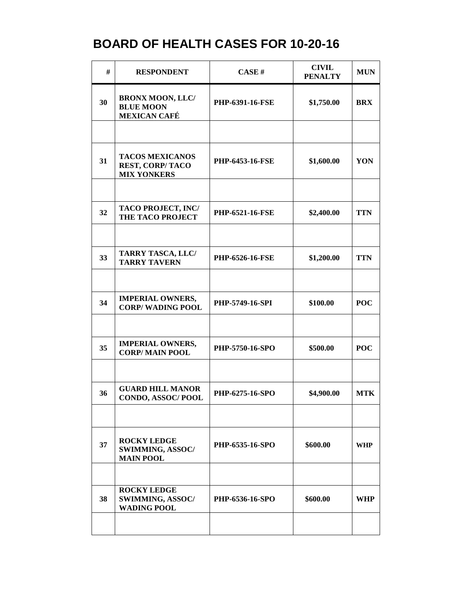| #  | <b>RESPONDENT</b>                                                      | CASE#                  | <b>CIVIL</b><br><b>PENALTY</b> | <b>MUN</b> |
|----|------------------------------------------------------------------------|------------------------|--------------------------------|------------|
| 30 | <b>BRONX MOON, LLC/</b><br><b>BLUE MOON</b><br><b>MEXICAN CAFÉ</b>     | <b>PHP-6391-16-FSE</b> | \$1,750.00                     | <b>BRX</b> |
|    |                                                                        |                        |                                |            |
| 31 | <b>TACOS MEXICANOS</b><br><b>REST, CORP/TACO</b><br><b>MIX YONKERS</b> | <b>PHP-6453-16-FSE</b> | \$1,600.00                     | YON        |
|    |                                                                        |                        |                                |            |
| 32 | TACO PROJECT, INC/<br><b>THE TACO PROJECT</b>                          | <b>PHP-6521-16-FSE</b> | \$2,400.00                     | <b>TTN</b> |
|    |                                                                        |                        |                                |            |
| 33 | <b>TARRY TASCA, LLC/</b><br><b>TARRY TAVERN</b>                        | PHP-6526-16-FSE        | \$1,200.00                     | <b>TTN</b> |
|    |                                                                        |                        |                                |            |
| 34 | <b>IMPERIAL OWNERS,</b><br><b>CORP/WADING POOL</b>                     | PHP-5749-16-SPI        | \$100.00                       | <b>POC</b> |
|    |                                                                        |                        |                                |            |
| 35 | <b>IMPERIAL OWNERS,</b><br><b>CORP/MAIN POOL</b>                       | PHP-5750-16-SPO        | \$500.00                       | <b>POC</b> |
|    |                                                                        |                        |                                |            |
| 36 | <b>GUARD HILL MANOR</b><br>CONDO, ASSOC/POOL                           | PHP-6275-16-SPO        | \$4,900.00                     | <b>MTK</b> |
|    |                                                                        |                        |                                |            |
| 37 | <b>ROCKY LEDGE</b><br>SWIMMING, ASSOC/<br><b>MAIN POOL</b>             | PHP-6535-16-SPO        | \$600.00                       | WHP        |
|    |                                                                        |                        |                                |            |
| 38 | <b>ROCKY LEDGE</b><br>SWIMMING, ASSOC/<br><b>WADING POOL</b>           | PHP-6536-16-SPO        | \$600.00                       | <b>WHP</b> |
|    |                                                                        |                        |                                |            |